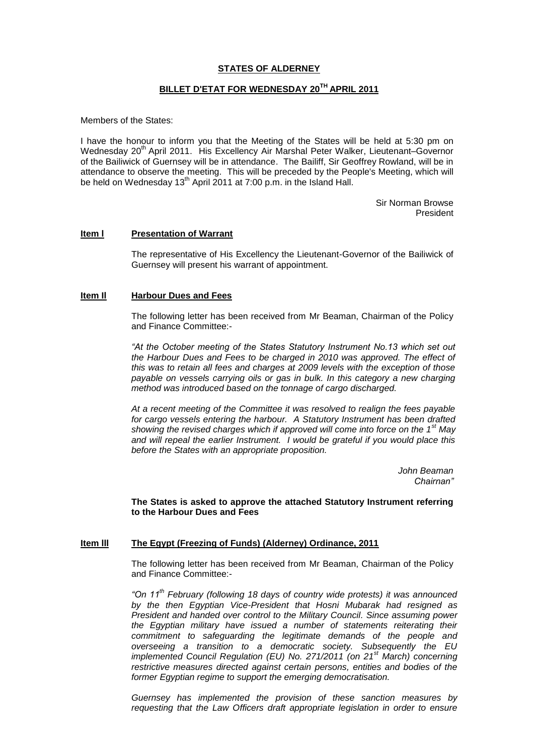# **STATES OF ALDERNEY**

# **BILLET D'ETAT FOR WEDNESDAY 20TH APRIL 2011**

Members of the States:

I have the honour to inform you that the Meeting of the States will be held at 5:30 pm on Wednesday 20<sup>th</sup> April 2011. His Excellency Air Marshal Peter Walker, Lieutenant–Governor of the Bailiwick of Guernsey will be in attendance. The Bailiff, Sir Geoffrey Rowland, will be in attendance to observe the meeting. This will be preceded by the People's Meeting, which will be held on Wednesday 13<sup>th</sup> April 2011 at 7:00 p.m. in the Island Hall.

> Sir Norman Browse President

# **Item l Presentation of Warrant**

The representative of His Excellency the Lieutenant-Governor of the Bailiwick of Guernsey will present his warrant of appointment.

#### **Item Il Harbour Dues and Fees**

The following letter has been received from Mr Beaman, Chairman of the Policy and Finance Committee:-

"At the October meeting of the States Statutory Instrument No.13 which set out *the Harbour Dues and Fees to be charged in 2010 was approved. The effect of this was to retain all fees and charges at 2009 levels with the exception of those payable on vessels carrying oils or gas in bulk. In this category a new charging method was introduced based on the tonnage of cargo discharged.* 

*At a recent meeting of the Committee it was resolved to realign the fees payable for cargo vessels entering the harbour. A Statutory Instrument has been drafted showing the revised charges which if approved will come into force on the 1st May and will repeal the earlier Instrument. I would be grateful if you would place this before the States with an appropriate proposition.*

> *John Beaman Chairnan"*

**The States is asked to approve the attached Statutory Instrument referring to the Harbour Dues and Fees**

#### **Item lll The Egypt (Freezing of Funds) (Alderney) Ordinance, 2011**

The following letter has been received from Mr Beaman, Chairman of the Policy and Finance Committee:-

*"On 11th February (following 18 days of country wide protests) it was announced by the then Egyptian Vice-President that Hosni Mubarak had resigned as President and handed over control to the Military Council. Since assuming power the Egyptian military have issued a number of statements reiterating their commitment to safeguarding the legitimate demands of the people and overseeing a transition to a democratic society. Subsequently the EU implemented Council Regulation (EU) No. 271/2011 (on 21st March) concerning restrictive measures directed against certain persons, entities and bodies of the former Egyptian regime to support the emerging democratisation.*

*Guernsey has implemented the provision of these sanction measures by requesting that the Law Officers draft appropriate legislation in order to ensure*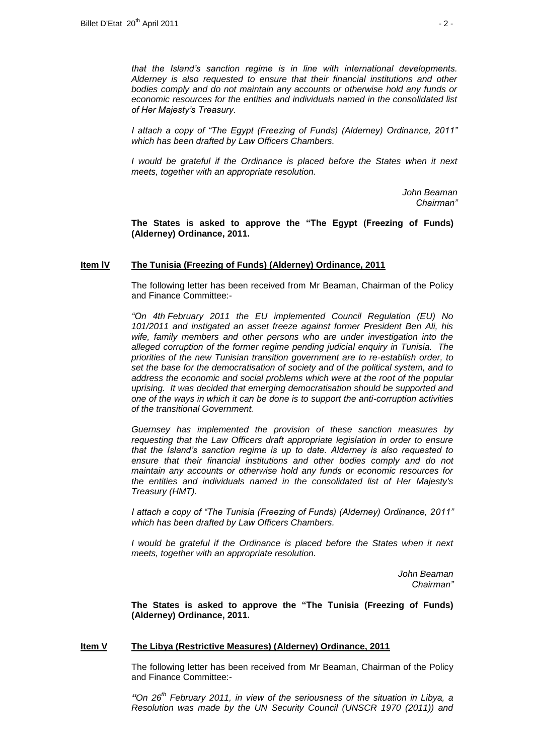*that the Island's sanction regime is in line with international developments. Alderney is also requested to ensure that their financial institutions and other bodies comply and do not maintain any accounts or otherwise hold any funds or economic resources for the entities and individuals named in the consolidated list of Her Majesty's Treasury.*

*I attach a copy of "The Egypt (Freezing of Funds) (Alderney) Ordinance, 2011" which has been drafted by Law Officers Chambers.*

*I* would be grateful if the Ordinance is placed before the States when it next *meets, together with an appropriate resolution.*

> *John Beaman Chairman"*

**The States is asked to approve the "The Egypt (Freezing of Funds) (Alderney) Ordinance, 2011.**

### **Item lV The Tunisia (Freezing of Funds) (Alderney) Ordinance, 2011**

The following letter has been received from Mr Beaman, Chairman of the Policy and Finance Committee:-

*"On 4th February 2011 the EU implemented Council Regulation (EU) No 101/2011 and instigated an asset freeze against former President Ben Ali, his wife, family members and other persons who are under investigation into the alleged corruption of the former regime pending judicial enquiry in Tunisia. The priorities of the new Tunisian transition government are to re-establish order, to set the base for the democratisation of society and of the political system, and to address the economic and social problems which were at the root of the popular uprising. It was decided that emerging democratisation should be supported and one of the ways in which it can be done is to support the anti-corruption activities of the transitional Government.*

*Guernsey has implemented the provision of these sanction measures by requesting that the Law Officers draft appropriate legislation in order to ensure that the Island's sanction regime is up to date. Alderney is also requested to ensure that their financial institutions and other bodies comply and do not maintain any accounts or otherwise hold any funds or economic resources for the entities and individuals named in the consolidated list of Her Majesty's Treasury (HMT).* 

*I attach a copy of "The Tunisia (Freezing of Funds) (Alderney) Ordinance, 2011" which has been drafted by Law Officers Chambers.*

*I* would be grateful if the Ordinance is placed before the States when it next *meets, together with an appropriate resolution.*

> *John Beaman Chairman"*

**The States is asked to approve the "The Tunisia (Freezing of Funds) (Alderney) Ordinance, 2011.**

#### **Item V The Libya (Restrictive Measures) (Alderney) Ordinance, 2011**

The following letter has been received from Mr Beaman, Chairman of the Policy and Finance Committee:-

*"On 26th February 2011, in view of the seriousness of the situation in Libya, a Resolution was made by the UN Security Council (UNSCR 1970 (2011)) and*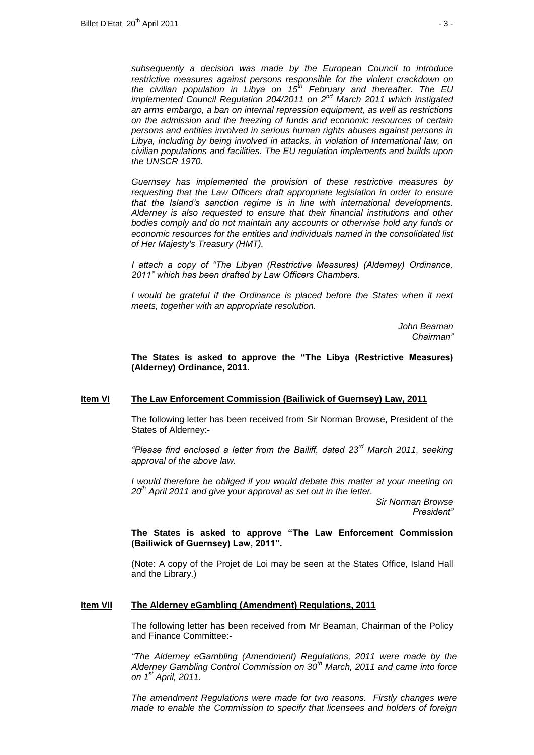*subsequently a decision was made by the European Council to introduce restrictive measures against persons responsible for the violent crackdown on the civilian population in Libya on 15th February and thereafter. The EU implemented Council Regulation 204/2011 on 2nd March 2011 which instigated an arms embargo, a ban on internal repression equipment, as well as restrictions on the admission and the freezing of funds and economic resources of certain persons and entities involved in serious human rights abuses against persons in Libya, including by being involved in attacks, in violation of International law, on civilian populations and facilities. The EU regulation implements and builds upon the UNSCR 1970.* 

*Guernsey has implemented the provision of these restrictive measures by requesting that the Law Officers draft appropriate legislation in order to ensure that the Island's sanction regime is in line with international developments. Alderney is also requested to ensure that their financial institutions and other bodies comply and do not maintain any accounts or otherwise hold any funds or economic resources for the entities and individuals named in the consolidated list of Her Majesty's Treasury (HMT).* 

*I attach a copy of "The Libyan (Restrictive Measures) (Alderney) Ordinance, 2011" which has been drafted by Law Officers Chambers.* 

*I* would be grateful if the Ordinance is placed before the States when it next *meets, together with an appropriate resolution.*

> *John Beaman Chairman"*

**The States is asked to approve the "The Libya (Restrictive Measures) (Alderney) Ordinance, 2011.**

### **Item VI The Law Enforcement Commission (Bailiwick of Guernsey) Law, 2011**

The following letter has been received from Sir Norman Browse, President of the States of Alderney:-

*"Please find enclosed a letter from the Bailiff, dated 23rd March 2011, seeking approval of the above law.*

*I* would therefore be obliged if you would debate this matter at your meeting on *20th April 2011 and give your approval as set out in the letter.*

> *Sir Norman Browse President"*

### **The States is asked to approve "The Law Enforcement Commission (Bailiwick of Guernsey) Law, 2011".**

(Note: A copy of the Projet de Loi may be seen at the States Office, Island Hall and the Library.)

### **Item VII The Alderney eGambling (Amendment) Regulations, 2011**

The following letter has been received from Mr Beaman, Chairman of the Policy and Finance Committee:-

*"The Alderney eGambling (Amendment) Regulations, 2011 were made by the Alderney Gambling Control Commission on 30th March, 2011 and came into force on 1st April, 2011.* 

*The amendment Regulations were made for two reasons. Firstly changes were made to enable the Commission to specify that licensees and holders of foreign*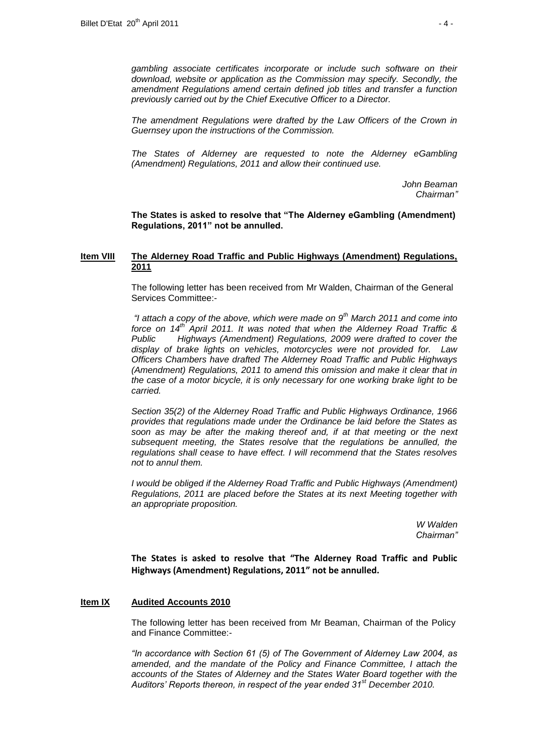*gambling associate certificates incorporate or include such software on their download, website or application as the Commission may specify. Secondly, the amendment Regulations amend certain defined job titles and transfer a function previously carried out by the Chief Executive Officer to a Director.*

*The amendment Regulations were drafted by the Law Officers of the Crown in Guernsey upon the instructions of the Commission.*

*The States of Alderney are requested to note the Alderney eGambling (Amendment) Regulations, 2011 and allow their continued use.*

> *John Beaman Chairman"*

**The States is asked to resolve that "The Alderney eGambling (Amendment) Regulations, 2011" not be annulled.**

# **Item VIII The Alderney Road Traffic and Public Highways (Amendment) Regulations, 2011**

The following letter has been received from Mr Walden, Chairman of the General Services Committee:-

*"I attach a copy of the above, which were made on 9th March 2011 and come into force on 14th April 2011. It was noted that when the Alderney Road Traffic & Public Highways (Amendment) Regulations, 2009 were drafted to cover the display of brake lights on vehicles, motorcycles were not provided for. Law Officers Chambers have drafted The Alderney Road Traffic and Public Highways (Amendment) Regulations, 2011 to amend this omission and make it clear that in the case of a motor bicycle, it is only necessary for one working brake light to be carried.*

*Section 35(2) of the Alderney Road Traffic and Public Highways Ordinance, 1966 provides that regulations made under the Ordinance be laid before the States as soon as may be after the making thereof and, if at that meeting or the next subsequent meeting, the States resolve that the regulations be annulled, the regulations shall cease to have effect. I will recommend that the States resolves not to annul them.*

*I* would be obliged if the Alderney Road Traffic and Public Highways (Amendment) *Regulations, 2011 are placed before the States at its next Meeting together with an appropriate proposition.*

> *W Walden Chairman"*

**The States is asked to resolve that "The Alderney Road Traffic and Public Highways (Amendment) Regulations, 2011" not be annulled.**

### **Item IX Audited Accounts 2010**

The following letter has been received from Mr Beaman, Chairman of the Policy and Finance Committee:-

*"In accordance with Section 61 (5) of The Government of Alderney Law 2004, as amended, and the mandate of the Policy and Finance Committee, I attach the accounts of the States of Alderney and the States Water Board together with the Auditors' Reports thereon, in respect of the year ended 31st December 2010.*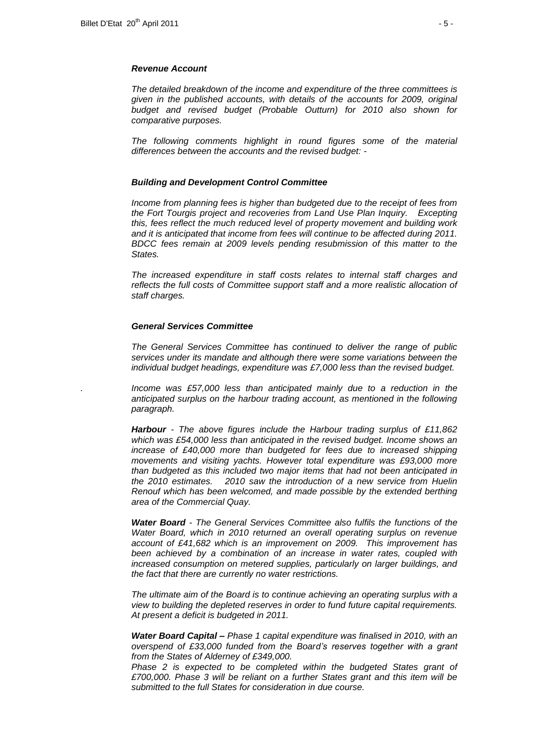#### *Revenue Account*

*The detailed breakdown of the income and expenditure of the three committees is given in the published accounts, with details of the accounts for 2009, original budget and revised budget (Probable Outturn) for 2010 also shown for comparative purposes.* 

*The following comments highlight in round figures some of the material differences between the accounts and the revised budget: -*

### *Building and Development Control Committee*

*Income from planning fees is higher than budgeted due to the receipt of fees from the Fort Tourgis project and recoveries from Land Use Plan Inquiry. Excepting this, fees reflect the much reduced level of property movement and building work*  and it is anticipated that income from fees will continue to be affected during 2011. *BDCC fees remain at 2009 levels pending resubmission of this matter to the States.*

*The increased expenditure in staff costs relates to internal staff charges and*  reflects the full costs of Committee support staff and a more realistic allocation of *staff charges.* 

### *General Services Committee*

*The General Services Committee has continued to deliver the range of public services under its mandate and although there were some variations between the individual budget headings, expenditure was £7,000 less than the revised budget.*

*. Income was £57,000 less than anticipated mainly due to a reduction in the anticipated surplus on the harbour trading account, as mentioned in the following paragraph.*

*Harbour - The above figures include the Harbour trading surplus of £11,862 which was £54,000 less than anticipated in the revised budget. Income shows an increase of £40,000 more than budgeted for fees due to increased shipping movements and visiting yachts. However total expenditure was £93,000 more than budgeted as this included two major items that had not been anticipated in the 2010 estimates. 2010 saw the introduction of a new service from Huelin Renouf which has been welcomed, and made possible by the extended berthing area of the Commercial Quay.*

*Water Board - The General Services Committee also fulfils the functions of the Water Board, which in 2010 returned an overall operating surplus on revenue account of £41,682 which is an improvement on 2009. This improvement has been achieved by a combination of an increase in water rates, coupled with increased consumption on metered supplies, particularly on larger buildings, and the fact that there are currently no water restrictions.* 

*The ultimate aim of the Board is to continue achieving an operating surplus with a view to building the depleted reserves in order to fund future capital requirements. At present a deficit is budgeted in 2011.*

*Water Board Capital – Phase 1 capital expenditure was finalised in 2010, with an overspend of £33,000 funded from the Board's reserves together with a grant from the States of Alderney of £349,000.*

*Phase 2 is expected to be completed within the budgeted States grant of £700,000. Phase 3 will be reliant on a further States grant and this item will be submitted to the full States for consideration in due course.*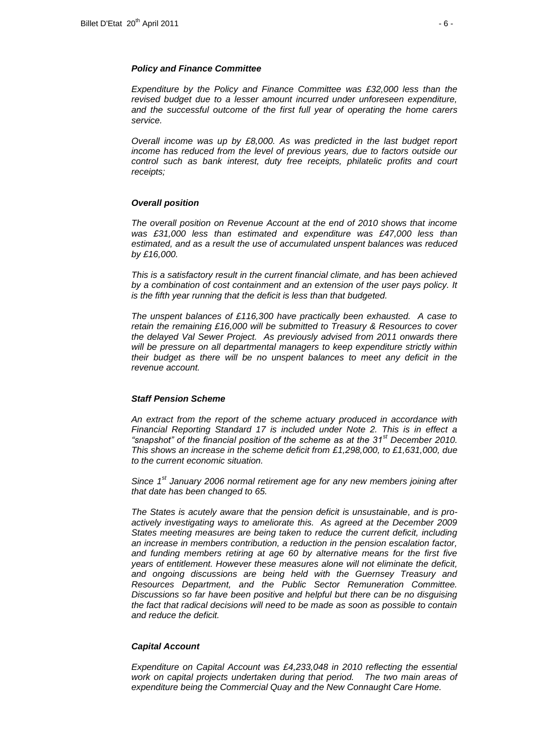#### *Policy and Finance Committee*

*Expenditure by the Policy and Finance Committee was £32,000 less than the revised budget due to a lesser amount incurred under unforeseen expenditure, and the successful outcome of the first full year of operating the home carers service.* 

*Overall income was up by £8,000. As was predicted in the last budget report income has reduced from the level of previous years, due to factors outside our control such as bank interest, duty free receipts, philatelic profits and court receipts;* 

### *Overall position*

*The overall position on Revenue Account at the end of 2010 shows that income was £31,000 less than estimated and expenditure was £47,000 less than estimated, and as a result the use of accumulated unspent balances was reduced by £16,000.* 

*This is a satisfactory result in the current financial climate, and has been achieved by a combination of cost containment and an extension of the user pays policy. It is the fifth year running that the deficit is less than that budgeted.* 

*The unspent balances of £116,300 have practically been exhausted. A case to retain the remaining £16,000 will be submitted to Treasury & Resources to cover the delayed Val Sewer Project. As previously advised from 2011 onwards there will be pressure on all departmental managers to keep expenditure strictly within their budget as there will be no unspent balances to meet any deficit in the revenue account.* 

### *Staff Pension Scheme*

*An extract from the report of the scheme actuary produced in accordance with Financial Reporting Standard 17 is included under Note 2. This is in effect a "snapshot" of the financial position of the scheme as at the 31st December 2010. This shows an increase in the scheme deficit from £1,298,000, to £1,631,000, due to the current economic situation.*

*Since 1st January 2006 normal retirement age for any new members joining after that date has been changed to 65.* 

*The States is acutely aware that the pension deficit is unsustainable, and is proactively investigating ways to ameliorate this. As agreed at the December 2009 States meeting measures are being taken to reduce the current deficit, including an increase in members contribution, a reduction in the pension escalation factor,* and funding members retiring at age 60 by alternative means for the first five *years of entitlement. However these measures alone will not eliminate the deficit, and ongoing discussions are being held with the Guernsey Treasury and Resources Department, and the Public Sector Remuneration Committee. Discussions so far have been positive and helpful but there can be no disguising the fact that radical decisions will need to be made as soon as possible to contain and reduce the deficit.* 

### *Capital Account*

*Expenditure on Capital Account was £4,233,048 in 2010 reflecting the essential work on capital projects undertaken during that period. The two main areas of expenditure being the Commercial Quay and the New Connaught Care Home.*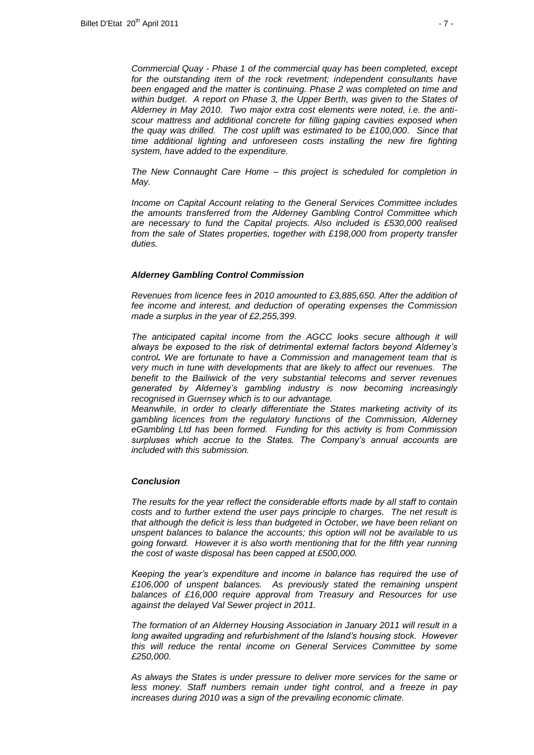*Commercial Quay - Phase 1 of the commercial quay has been completed, except*  for the outstanding item of the rock revetment; independent consultants have *been engaged and the matter is continuing. Phase 2 was completed on time and within budget. A report on Phase 3, the Upper Berth, was given to the States of Alderney in May 2010. Two major extra cost elements were noted, i.e. the antiscour mattress and additional concrete for filling gaping cavities exposed when the quay was drilled. The cost uplift was estimated to be £100,000. Since that time additional lighting and unforeseen costs installing the new fire fighting system, have added to the expenditure.* 

*The New Connaught Care Home – this project is scheduled for completion in May.* 

*Income on Capital Account relating to the General Services Committee includes the amounts transferred from the Alderney Gambling Control Committee which are necessary to fund the Capital projects. Also included is £530,000 realised from the sale of States properties, together with £198,000 from property transfer duties.*

#### *Alderney Gambling Control Commission*

*Revenues from licence fees in 2010 amounted to £3,885,650. After the addition of fee income and interest, and deduction of operating expenses the Commission made a surplus in the year of £2,255,399.* 

The anticipated capital income from the AGCC looks secure although it will *always be exposed to the risk of detrimental external factors beyond Alderney's control. We are fortunate to have a Commission and management team that is very much in tune with developments that are likely to affect our revenues. The benefit to the Bailiwick of the very substantial telecoms and server revenues generated by Alderney's gambling industry is now becoming increasingly recognised in Guernsey which is to our advantage.* 

*Meanwhile, in order to clearly differentiate the States marketing activity of its gambling licences from the regulatory functions of the Commission, Alderney eGambling Ltd has been formed. Funding for this activity is from Commission surpluses which accrue to the States. The Company's annual accounts are included with this submission.*

#### *Conclusion*

*The results for the year reflect the considerable efforts made by all staff to contain costs and to further extend the user pays principle to charges. The net result is that although the deficit is less than budgeted in October, we have been reliant on unspent balances to balance the accounts; this option will not be available to us going forward. However it is also worth mentioning that for the fifth year running the cost of waste disposal has been capped at £500,000.* 

*Keeping the year's expenditure and income in balance has required the use of £106,000 of unspent balances. As previously stated the remaining unspent balances of £16,000 require approval from Treasury and Resources for use against the delayed Val Sewer project in 2011.* 

*The formation of an Alderney Housing Association in January 2011 will result in a long awaited upgrading and refurbishment of the Island's housing stock. However this will reduce the rental income on General Services Committee by some £250,000.*

*As always the States is under pressure to deliver more services for the same or less money. Staff numbers remain under tight control, and a freeze in pay increases during 2010 was a sign of the prevailing economic climate.*